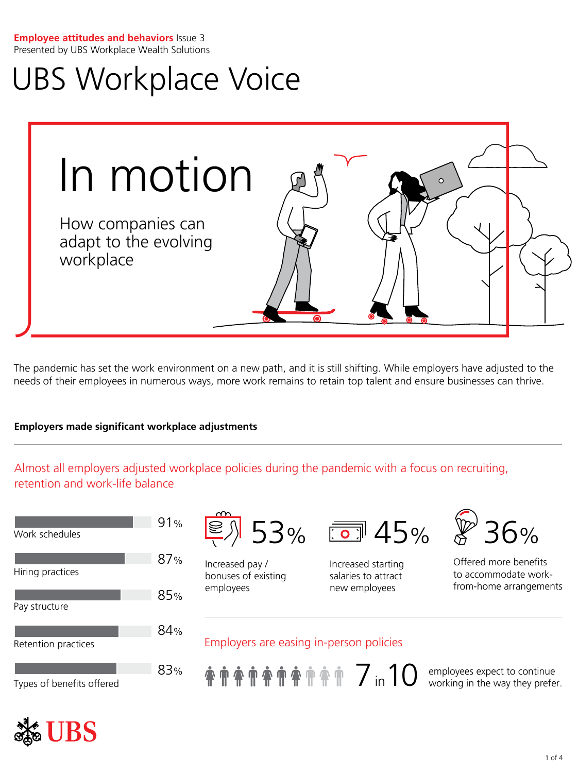#### **Employee attitudes and behaviors** Issue 3 Presented by UBS Workplace Wealth Solutions

# UBS Workplace Voice



The pandemic has set the work environment on a new path, and it is still shifting. While employers have adjusted to the needs of their employees in numerous ways, more work remains to retain top talent and ensure businesses can thrive.

## **Employers made significant workplace adjustments**

Almost all employers adjusted workplace policies during the pandemic with a focus on recruiting, retention and work-life balance

| Work schedules            | 91% |
|---------------------------|-----|
| Hiring practices          | 87% |
| Pay structure             | 85% |
| Retention practices       | 84% |
| Types of benefits offered | 83% |



Increased pay / bonuses of existing employees



Increased starting salaries to attract new employees



Offered more benefits to accommodate workfrom-home arrangements

# Employers are easing in-person policies



working in the way they prefer.

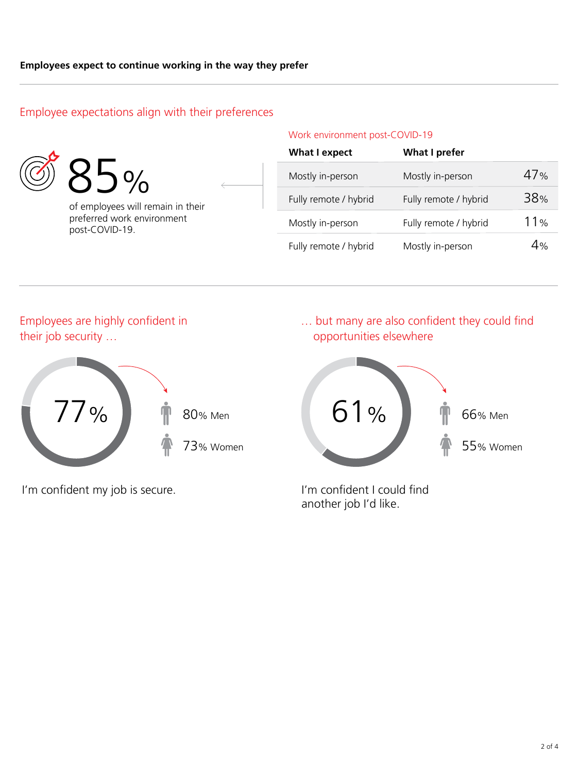# Employee expectations align with their preferences



| $9\%$ |
|-------|
|       |

of employees will remain in their preferred work environment post-COVID-19.

| Work environment post-COVID-19 |  |
|--------------------------------|--|
|--------------------------------|--|

| <b>What I expect</b>  | <b>What I prefer</b>  |     |
|-----------------------|-----------------------|-----|
| Mostly in-person      | Mostly in-person      | 47% |
| Fully remote / hybrid | Fully remote / hybrid | 38% |
| Mostly in-person      | Fully remote / hybrid | 11% |
| Fully remote / hybrid | Mostly in-person      | 4%  |

# Employees are highly confident in their job security …



I'm confident my job is secure. I'm confident I could find

… but many are also confident they could find opportunities elsewhere



another job I'd like.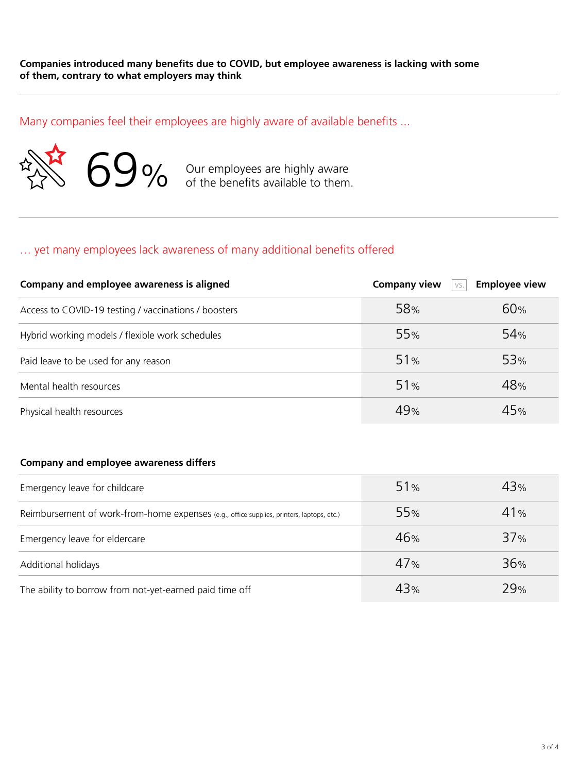Many companies feel their employees are highly aware of available benefits ...



Our employees are highly aware of the benefits available to them.

# … yet many employees lack awareness of many additional benefits offered

| Company and employee awareness is aligned            | <b>Company view</b><br>VS. | <b>Employee view</b> |
|------------------------------------------------------|----------------------------|----------------------|
| Access to COVID-19 testing / vaccinations / boosters | 58%                        | 60%                  |
| Hybrid working models / flexible work schedules      | 55%                        | 54 <sub>%</sub>      |
| Paid leave to be used for any reason                 | 51%                        | 53 <sub>%</sub>      |
| Mental health resources                              | 51%                        | 48%                  |
| Physical health resources                            | 49%                        | 45%                  |

#### **Company and employee awareness differs**

| Emergency leave for childcare                                                             | 51%             | 43% |
|-------------------------------------------------------------------------------------------|-----------------|-----|
| Reimbursement of work-from-home expenses (e.g., office supplies, printers, laptops, etc.) | 55 <sub>%</sub> | 41% |
| Emergency leave for eldercare                                                             | 46%             | 37% |
| Additional holidays                                                                       | 47%             | 36% |
| The ability to borrow from not-yet-earned paid time off                                   | 43%             | 29% |